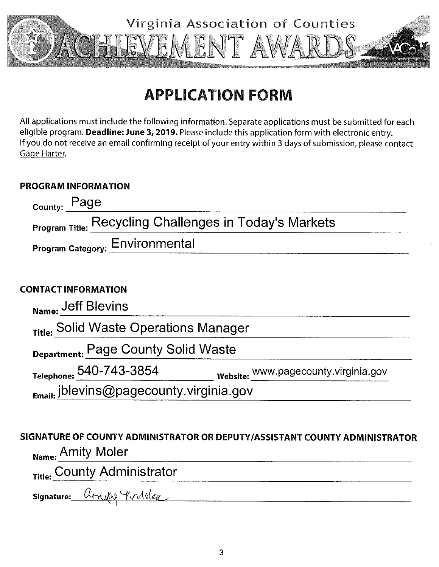

# **APPLICATION FORM**

All applications must include the following information. Separate applications must be submitted for each eligible program. Deadline: June 3, 2019. Please include this application form with electronic entry. If you do not receive an email confirming receipt of your entry within 3 days of submission, please contact Gage Harter.

### **PROGRAM INFORMATION**

| Page<br>County:                                               |                                       |
|---------------------------------------------------------------|---------------------------------------|
| <b>Program Title: Recycling Challenges in Today's Markets</b> |                                       |
| Program Category: Environmental                               |                                       |
|                                                               |                                       |
| <b>CONTACT INFORMATION</b>                                    |                                       |
| Name: Jeff Blevins                                            |                                       |
| <sub>Title:</sub> Solid Waste Operations Manager              |                                       |
| Department: Page County Solid Waste                           |                                       |
| Telephone: 540-743-3854                                       | Website: www.pagecounty.virginia.gov_ |
| <sub>Email:</sub> jblevins@pagecounty.virginia.gov            |                                       |

## SIGNATURE OF COUNTY ADMINISTRATOR OR DEPUTY/ASSISTANT COUNTY ADMINISTRATOR Name: Amity Moler

Title: County Administrator<br>Signature: Atxiki Mrider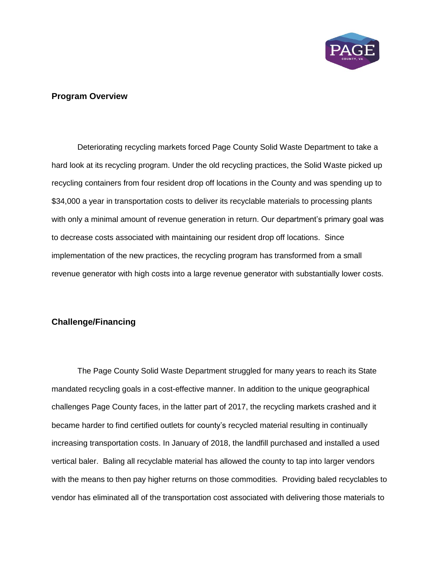

#### **Program Overview**

Deteriorating recycling markets forced Page County Solid Waste Department to take a hard look at its recycling program. Under the old recycling practices, the Solid Waste picked up recycling containers from four resident drop off locations in the County and was spending up to \$34,000 a year in transportation costs to deliver its recyclable materials to processing plants with only a minimal amount of revenue generation in return. Our department's primary goal was to decrease costs associated with maintaining our resident drop off locations. Since implementation of the new practices, the recycling program has transformed from a small revenue generator with high costs into a large revenue generator with substantially lower costs.

#### **Challenge/Financing**

The Page County Solid Waste Department struggled for many years to reach its State mandated recycling goals in a cost-effective manner. In addition to the unique geographical challenges Page County faces, in the latter part of 2017, the recycling markets crashed and it became harder to find certified outlets for county's recycled material resulting in continually increasing transportation costs. In January of 2018, the landfill purchased and installed a used vertical baler. Baling all recyclable material has allowed the county to tap into larger vendors with the means to then pay higher returns on those commodities. Providing baled recyclables to vendor has eliminated all of the transportation cost associated with delivering those materials to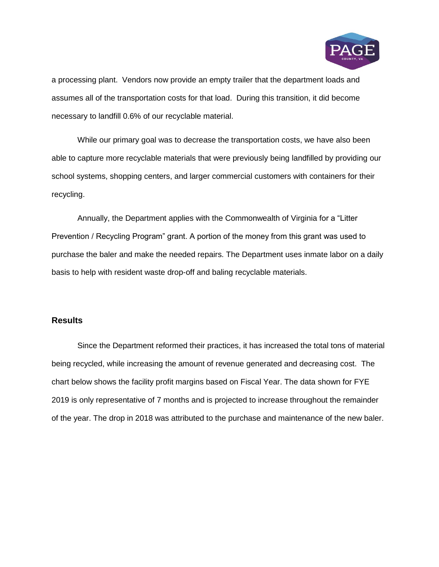

a processing plant. Vendors now provide an empty trailer that the department loads and assumes all of the transportation costs for that load. During this transition, it did become necessary to landfill 0.6% of our recyclable material.

While our primary goal was to decrease the transportation costs, we have also been able to capture more recyclable materials that were previously being landfilled by providing our school systems, shopping centers, and larger commercial customers with containers for their recycling.

Annually, the Department applies with the Commonwealth of Virginia for a "Litter Prevention / Recycling Program" grant. A portion of the money from this grant was used to purchase the baler and make the needed repairs. The Department uses inmate labor on a daily basis to help with resident waste drop-off and baling recyclable materials.

#### **Results**

Since the Department reformed their practices, it has increased the total tons of material being recycled, while increasing the amount of revenue generated and decreasing cost. The chart below shows the facility profit margins based on Fiscal Year. The data shown for FYE 2019 is only representative of 7 months and is projected to increase throughout the remainder of the year. The drop in 2018 was attributed to the purchase and maintenance of the new baler.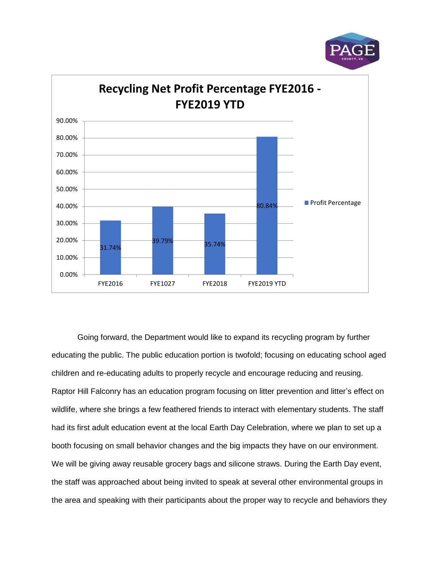



Going forward, the Department would like to expand its recycling program by further educating the public. The public education portion is twofold; focusing on educating school aged children and re-educating adults to properly recycle and encourage reducing and reusing. Raptor Hill Falconry has an education program focusing on litter prevention and litter's effect on wildlife, where she brings a few feathered friends to interact with elementary students. The staff had its first adult education event at the local Earth Day Celebration, where we plan to set up a booth focusing on small behavior changes and the big impacts they have on our environment. We will be giving away reusable grocery bags and silicone straws. During the Earth Day event, the staff was approached about being invited to speak at several other environmental groups in the area and speaking with their participants about the proper way to recycle and behaviors they